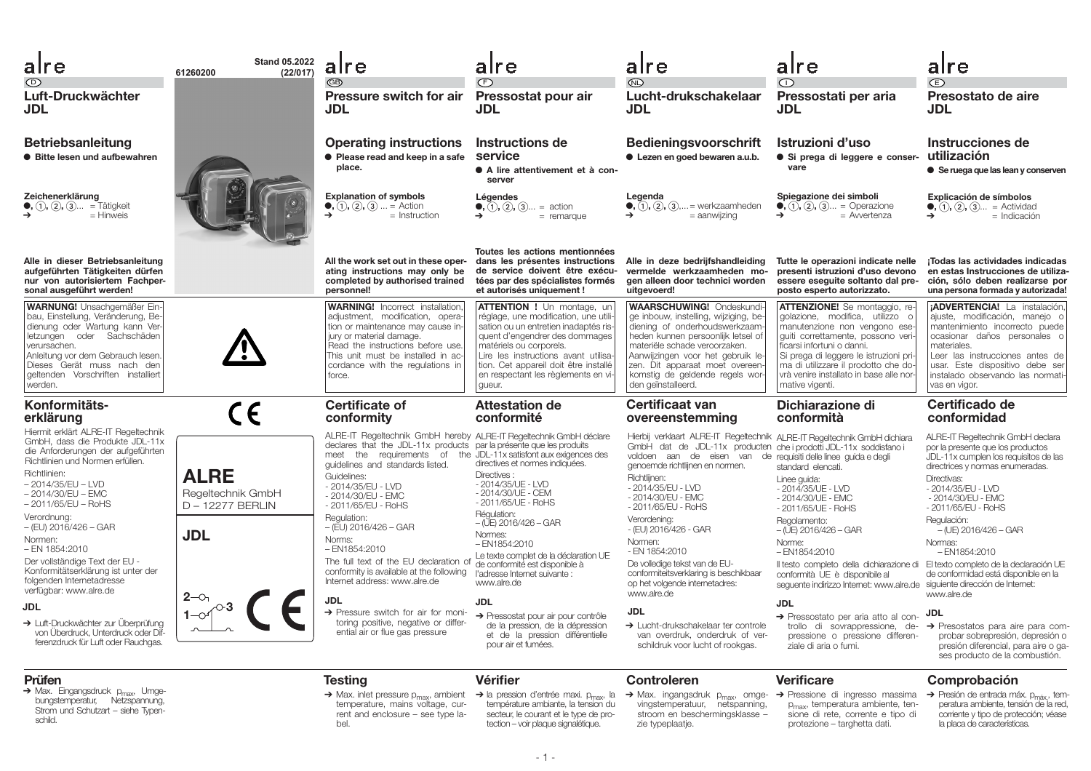| alre                                                                                                                                                                                                                                  | <b>Stand 05.2022</b><br>(22/017)<br>61260200       | alre                                                                                                                                                                                                                                                                                                                                | alre                                                                                                                                                                                                                                                              | alre                                                                                                                                                                                                                                                                                                                                    | alre                                                                                                                                                                                                                                                           | alre                                                                                                                                                                                                                                  |
|---------------------------------------------------------------------------------------------------------------------------------------------------------------------------------------------------------------------------------------|----------------------------------------------------|-------------------------------------------------------------------------------------------------------------------------------------------------------------------------------------------------------------------------------------------------------------------------------------------------------------------------------------|-------------------------------------------------------------------------------------------------------------------------------------------------------------------------------------------------------------------------------------------------------------------|-----------------------------------------------------------------------------------------------------------------------------------------------------------------------------------------------------------------------------------------------------------------------------------------------------------------------------------------|----------------------------------------------------------------------------------------------------------------------------------------------------------------------------------------------------------------------------------------------------------------|---------------------------------------------------------------------------------------------------------------------------------------------------------------------------------------------------------------------------------------|
| $\odot$<br>Luft-Druckwächter<br>JDL                                                                                                                                                                                                   |                                                    | <b>GB</b><br>Pressure switch for air<br><b>JDL</b>                                                                                                                                                                                                                                                                                  | (F)<br>Pressostat pour air<br>JDL                                                                                                                                                                                                                                 | $\mathbb{D}$<br>Lucht-drukschakelaar<br>JDL                                                                                                                                                                                                                                                                                             | $\bigcap$<br>Pressostati per aria<br><b>JDL</b>                                                                                                                                                                                                                | $\bigoplus$<br>Presostato de aire<br>JDL                                                                                                                                                                                              |
| <b>Betriebsanleitung</b><br><b>• Bitte lesen und aufbewahren</b>                                                                                                                                                                      |                                                    | <b>Operating instructions</b><br>• Please read and keep in a safe<br>place.                                                                                                                                                                                                                                                         | Instructions de<br>service<br>• A lire attentivement et à con-<br>server                                                                                                                                                                                          | <b>Bedieningsvoorschrift</b><br>• Lezen en goed bewaren a.u.b.                                                                                                                                                                                                                                                                          | Istruzioni d'uso<br>· Si prega di leggere e conser-<br>vare                                                                                                                                                                                                    | Instrucciones de<br>utilización<br>• Se ruega que las lean y conserven                                                                                                                                                                |
| Zeichenerklärung<br>$(1), (2), (3)$ = Tätigkeit<br>$=$ Hinweis                                                                                                                                                                        |                                                    | <b>Explanation of symbols</b><br>$(1), (2), (3)  =$ Action<br>$\rightarrow$<br>$=$ Instruction                                                                                                                                                                                                                                      | Légendes<br>$(1, (2), (3) =$ action<br>$=$ remarque                                                                                                                                                                                                               | Legenda<br>$\bullet$ , $(1)$ , $(2)$ , $(3)$ , = werkzaamheden<br>$=$ aanwiizing                                                                                                                                                                                                                                                        | Spiegazione dei simboli<br>$(1, (2), (3))$ = Operazione<br>$=$ Avvertenza<br>→                                                                                                                                                                                 | Explicación de símbolos<br>$(1), (2), (3) =$ Actividad<br>$=$ Indicación                                                                                                                                                              |
| Alle in dieser Betriebsanleitung<br>aufgeführten Tätigkeiten dürfen<br>nur von autorisiertem Fachper-<br>sonal ausgeführt werden!                                                                                                     |                                                    | All the work set out in these oper-<br>ating instructions may only be<br>completed by authorised trained<br>personnel!                                                                                                                                                                                                              | Toutes les actions mentionnées<br>dans les présentes instructions<br>de service doivent être exécu-<br>tées par des spécialistes formés<br>et autorisés uniquement !                                                                                              | Alle in deze bedrijfshandleiding<br>vermelde werkzaamheden mo-<br>gen alleen door technici worden<br>uitgevoerd!                                                                                                                                                                                                                        | Tutte le operazioni indicate nelle<br>presenti istruzioni d'uso devono<br>essere eseguite soltanto dal pre-<br>posto esperto autorizzato.                                                                                                                      | ¡Todas las actividades indicadas<br>en estas Instrucciones de utiliza-<br>ción, sólo deben realizarse por<br>una persona formada y autorizada!                                                                                        |
| <b>WARNUNG!</b> Unsachgemäßer Ein-<br>bau, Einstellung, Veränderung, Be-<br>dienung oder Wartung kann Ver-<br>letzungen oder Sachschäden<br>verursachen.<br>Anleitung vor dem Gebrauch lesen.<br>Dieses Gerät muss nach den           |                                                    | <b>WARNING!</b> Incorrect installation<br>adjustment, modification, opera<br>tion or maintenance may cause in-<br>jury or material damage.<br>Read the instructions before use<br>This unit must be installed in ac<br>cordance with the regulations in                                                                             | <b>ATTENTION !</b> Un montage, un<br>réglage, une modification, une utili-<br>sation ou un entretien inadaptés ris-<br>quent d'engendrer des dommages<br>matériels ou corporels.<br>Lire les instructions avant utilisa-<br>tion. Cet appareil doit être installé | <b>WAARSCHUWING! Ondeskundi-</b><br>ge inbouw, instelling, wijziging, be-<br>diening of onderhoudswerkzaam<br>heden kunnen persoonlijk letsel of<br>materiële schade veroorzaken.<br>Aanwijzingen voor het gebruik le-<br>zen. Dit apparaat moet overeen-                                                                               | <b>ATTENZIONE!</b> Se montaggio, re-<br>golazione, modifica, utilizzo o<br>manutenzione non vengono ese-<br>quiti correttamente, possono veri-<br>ficarsi infortuni o danni.<br>Si prega di leggere le istruzioni pri-<br>ma di utilizzare il prodotto che do- | ¡ADVERTENCIA! La instalación.<br>ajuste, modificación, manejo o<br>mantenimiento incorrecto puede<br>ocasionar daños personales o<br>materiales.<br>Leer las instrucciones antes de<br>usar. Este dispositivo debe ser                |
| geltenden Vorschriften installiert<br>werden.                                                                                                                                                                                         |                                                    | force.                                                                                                                                                                                                                                                                                                                              | en respectant les règlements en vi-<br>gueur.                                                                                                                                                                                                                     | komstig de geldende regels wor-<br>den geïnstalleerd.                                                                                                                                                                                                                                                                                   | l vrà venire installato in base alle nor-<br>mative vigenti.                                                                                                                                                                                                   | instalado observando las normati-<br>vas en vigor.                                                                                                                                                                                    |
| Konformitäts-<br>erklärung                                                                                                                                                                                                            | CE                                                 | <b>Certificate of</b><br>conformity                                                                                                                                                                                                                                                                                                 | <b>Attestation de</b><br>conformité                                                                                                                                                                                                                               | <b>Certificaat van</b><br>overeenstemming                                                                                                                                                                                                                                                                                               | Dichiarazione di<br>conformità                                                                                                                                                                                                                                 | Certificado de<br>conformidad                                                                                                                                                                                                         |
| Hiermit erklärt ALRE-IT Regeltechnik<br>GmbH, dass die Produkte JDL-11x<br>die Anforderungen der aufgeführten<br>Richtlinien und Normen erfüllen.<br>Richtlinien:<br>– 2014/35/EU – LVD<br>- 2014/30/EU - EMC<br>$-2011/65/EU - RoHS$ | <b>ALRE</b><br>Regeltechnik GmbH<br>D-12277 BERLIN | ALRE-IT Regeltechnik GmbH hereby ALRE-IT Regeltechnik GmbH déclare<br>declares that the JDL-11x products par la présente que les produits<br>meet the requirements of the JDL-11x satisfont aux exigences des<br>quidelines and standards listed.<br>Guidelines:<br>- 2014/35/EU - LVD<br>- 2014/30/EU - EMC<br>- 2011/65/EU - RoHS | directives et normes indiquées.<br>Directives:<br>- 2014/35/UE - LVD<br>- 2014/30/UE - CEM<br>- 2011/65/UE - RoHS                                                                                                                                                 | Hierbij verklaart ALRE-IT Regeltechnik ALRE-IT Regeltechnik GmbH dichiara<br>GmbH dat de JDL-11x producten che i prodotti JDL-11x soddisfano i<br>voldoen aan de eisen van de requisiti delle linee guida e degli<br>genoemde richtlijnen en normen.<br>Richtlijnen:<br>- 2014/35/EU - LVD<br>- 2014/30/EU - EMC<br>- 2011/65/EU - RoHS | standard elencati.<br>Linee guida:<br>- 2014/35/UE - LVD<br>- 2014/30/UE - EMC<br>- 2011/65/UE - RoHS                                                                                                                                                          | ALRE-IT Regeltechnik GmbH declara<br>por la presente que los productos<br>JDL-11x cumplen los requisitos de las<br>directrices y normas enumeradas.<br>Directivas:<br>- 2014/35/EU - LVD<br>- 2014/30/EU - EMC<br>- 2011/65/EU - RoHS |
| Verordnung:<br>- (EU) 2016/426 - GAR<br>Normen:                                                                                                                                                                                       | <b>JDL</b>                                         | Regulation:<br>$-$ (EU) 2016/426 $-$ GAR<br>Norms:                                                                                                                                                                                                                                                                                  | Régulation:<br>$-(\check{U}E) 2016/426 - GAR$<br>Normes:<br>$-EN1854:2010$                                                                                                                                                                                        | Verordening:<br>- (EU) 2016/426 - GAR<br>Normen:                                                                                                                                                                                                                                                                                        | Regolamento:<br>$-$ (UE) 2016/426 $-$ GAR<br>Norme:                                                                                                                                                                                                            | Regulación:<br>$-(UE)$ 2016/426 - GAR<br>Normas:                                                                                                                                                                                      |
| $-$ EN 1854:2010<br>Der vollständige Text der EU -<br>Konformitätserklärung ist unter der<br>folgenden Internetadresse<br>verfügbar: www.alre.de                                                                                      |                                                    | $-$ EN1854:2010<br>The full text of the EU declaration of<br>conformity is available at the following<br>Internet address: www.alre.de                                                                                                                                                                                              | Le texte complet de la déclaration UE<br>de conformité est disponible à<br>l'adresse Internet suivante :<br>www.alre.de                                                                                                                                           | - EN 1854:2010<br>De volledige tekst van de EU-<br>conformiteitsverklaring is beschikbaar<br>op het volgende internetadres:<br>www.alre.de                                                                                                                                                                                              | $-EN1854:2010$<br>Il testo completo della dichiarazione di El texto completo de la declaración UE<br>conformità UE è disponibile al<br>seguente indirizzo Internet: www.alre.de                                                                                | $-$ EN1854:2010<br>de conformidad está disponible en la<br>siguiente dirección de Internet:<br>www.alre.de                                                                                                                            |
| <b>JDL</b><br>> Luft-Druckwächter zur Überprüfung<br>von Überdruck. Unterdruck oder Dif-<br>ferenzdruck für Luft oder Rauchgas.                                                                                                       |                                                    | <b>JDL</b><br>$\rightarrow$ Pressure switch for air for moni-<br>toring positive, negative or differ-<br>ential air or flue gas pressure                                                                                                                                                                                            | <b>JDL</b><br>→ Pressostat pour air pour contrôle<br>de la pression, de la dépression<br>et de la pression différentielle<br>pour air et fumées.                                                                                                                  | <b>JDL</b><br>$\rightarrow$ Lucht-drukschakelaar ter controle<br>van overdruk, onderdruk of ver-<br>schildruk voor lucht of rookgas.                                                                                                                                                                                                    | <b>JDL</b><br>→ Pressostato per aria atto al con-<br>trollo di sovrappressione, de-<br>pressione o pressione differen-<br>ziale di aria o fumi.                                                                                                                | JDL<br>$\rightarrow$ Presostatos para aire para com-<br>probar sobrepresión, depresión o<br>presión diferencial, para aire o ga-<br>ses producto de la combustión.                                                                    |

## **Prüfen**

→ Max. Eingangsdruck p<sub>max</sub>, Umge-<br>bungstemperatur, Netzspannung, Strom und Schutzart – siehe Typenschild.

## **Vérifier**

- temperature, mains voltage, current and enclosure – see type label.
- température ambiante, la tension du secteur, le courant et le type de protection – voir plaque signalétique.

#### **Controleren**

vingstemperatuur, netspanning, stroom en beschermingsklasse – zie typeplaatje.

## **Verificare**

- → Max. inlet pressure p<sub>max</sub>, ambient → la pression d'entrée maxi. p<sub>max</sub>, la → Max. ingangsdruk p<sub>max</sub>, omge- → Pressione di ingresso massima → Presión de entrada máx. p<sub>máx</sub>, temp<sub>max</sub>, temperatura ambiente, tensione di rete, corrente e tipo di protezione – targhetta dati.
	- peratura ambiente, tensión de la red, corriente y tipo de protección; véase la placa de características.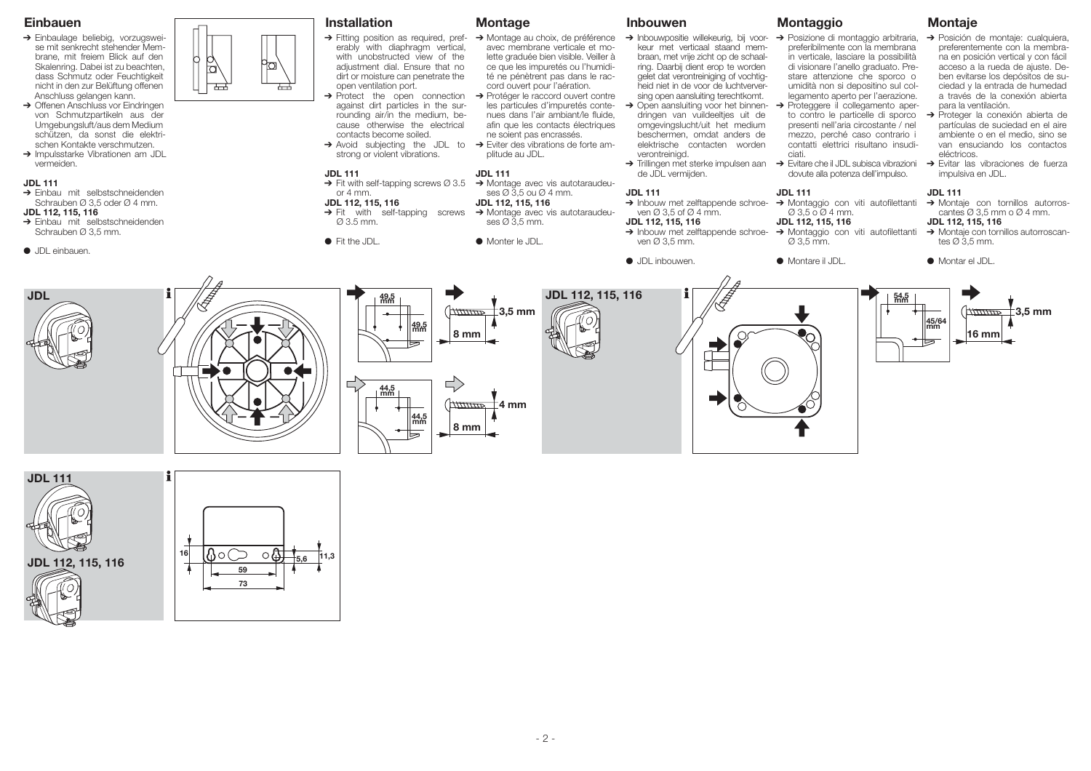## **Einbauen**

- ➔ Einbaulage beliebig, vorzugsweise mit senkrecht stehender Membrane, mit freiem Blick auf den Skalenring. Dabei ist zu beachten, dass Schmutz oder Feuchtigkeit nicht in den zur Belüftung offenen Anschluss gelangen kann.
- **→** Offenen Anschluss vor Eindringen von Schmutzpartikeln aus der Umgebungsluft/aus dem Medium schützen, da sonst die elektrischen Kontakte verschmutzen.
- ➔ Impulsstarke Vibrationen am JDL vermeiden.

### **JDL 111**

- ➔ Einbau mit selbstschneidenden Schrauben Ø 3,5 oder Ø 4 mm.
- **JDL 112, 115, 116**
- ➔ Einbau mit selbstschneidenden Schrauben Ø 3,5 mm.
- JDL einbauen.



| <b>Installation</b>                                                                                                                                                                                                                                                                                                                                                                                                                                                                       | <b>Montage</b>                                                                                                                                                                                                                                                                                                                                                                                                                                                                              | <b>Inbouwen</b>                                                                                                                                                                                                                                                                                                                                                                                                                                                                                                               | <b>Montaggio</b>                                                                                                                                                                                                                                                                                                                                                                                                                                                                                                                               |
|-------------------------------------------------------------------------------------------------------------------------------------------------------------------------------------------------------------------------------------------------------------------------------------------------------------------------------------------------------------------------------------------------------------------------------------------------------------------------------------------|---------------------------------------------------------------------------------------------------------------------------------------------------------------------------------------------------------------------------------------------------------------------------------------------------------------------------------------------------------------------------------------------------------------------------------------------------------------------------------------------|-------------------------------------------------------------------------------------------------------------------------------------------------------------------------------------------------------------------------------------------------------------------------------------------------------------------------------------------------------------------------------------------------------------------------------------------------------------------------------------------------------------------------------|------------------------------------------------------------------------------------------------------------------------------------------------------------------------------------------------------------------------------------------------------------------------------------------------------------------------------------------------------------------------------------------------------------------------------------------------------------------------------------------------------------------------------------------------|
| $\rightarrow$ Fitting position as required, pref-<br>erably with diaphragm vertical,<br>with unobstructed view of the<br>adjustment dial. Ensure that no<br>dirt or moisture can penetrate the<br>open ventilation port.<br>$\rightarrow$ Protect the open connection<br>against dirt particles in the sur-<br>rounding air/in the medium, be-<br>cause otherwise the electrical<br>contacts become soiled.<br>$\rightarrow$ Avoid subjecting the JDL to<br>strong or violent vibrations. | → Montage au choix, de préférence<br>avec membrane verticale et mo-<br>lette graduée bien visible. Veiller à<br>ce que les impuretés ou l'humidi-<br>té ne pénètrent pas dans le rac-<br>cord ouvert pour l'aération.<br>$\rightarrow$ Protéger le raccord ouvert contre<br>les particules d'impuretés conte-<br>nues dans l'air ambiant/le fluide,<br>afin que les contacts électriques<br>ne soient pas encrassés.<br>$\rightarrow$ Eviter des vibrations de forte am-<br>plitude au JDL. | > Inbouwpositie willekeurig, bij voor-<br>keur met verticaal staand mem-<br>braan, met vrije zicht op de schaal-<br>ring. Daarbij dient erop te worden<br>gelet dat verontreiniging of vochtig-<br>heid niet in de voor de luchtverver-<br>sing open aansluiting terechtkomt.<br>$\rightarrow$ Open aansluiting voor het binnen-<br>dringen van vuildeeltjes uit de<br>omgevingslucht/uit het medium<br>beschermen, omdat anders de<br>elektrische contacten worden<br>verontreinigd.<br>> Trillingen met sterke impulsen aan | → Posizione di montaggio arbitraria,<br>preferibilmente con la membrana<br>in verticale, lasciare la possibilità<br>di visionare l'anello graduato. Pre-<br>stare attenzione che sporco o<br>umidità non si depositino sul col-<br>legamento aperto per l'aerazione.<br>$\rightarrow$ Proteggere il collegamento aper-<br>to contro le particelle di sporco<br>presenti nell'aria circostante / nel<br>mezzo, perché caso contrario i<br>contatti elettrici risultano insudi-<br>ciati.<br>$\rightarrow$ Evitare che il JDL subisca vibrazioni |
| <b>JDL 111</b>                                                                                                                                                                                                                                                                                                                                                                                                                                                                            | <b>JDL 111</b>                                                                                                                                                                                                                                                                                                                                                                                                                                                                              | de JDL vermijden.                                                                                                                                                                                                                                                                                                                                                                                                                                                                                                             | dovute alla potenza dell'impulso.                                                                                                                                                                                                                                                                                                                                                                                                                                                                                                              |
| $\rightarrow$ Fit with self-tapping screws $\varnothing$ 3.5<br>or $4 \text{ mm}$ .                                                                                                                                                                                                                                                                                                                                                                                                       | $\rightarrow$ Montage avec vis autotaraudeu-<br>ses $\varnothing$ 3,5 ou $\varnothing$ 4 mm.                                                                                                                                                                                                                                                                                                                                                                                                | <b>JDL 111</b>                                                                                                                                                                                                                                                                                                                                                                                                                                                                                                                | <b>JDL 111</b>                                                                                                                                                                                                                                                                                                                                                                                                                                                                                                                                 |
| JDL 112, 115, 116<br>$\rightarrow$ Fit with self-tapping<br>screws<br>$\varnothing$ 3.5 mm.                                                                                                                                                                                                                                                                                                                                                                                               | JDL 112, 115, 116<br>$\rightarrow$ Montage avec vis autotaraudeu-<br>$ses \varnothing 3,5 mm.$                                                                                                                                                                                                                                                                                                                                                                                              | $\rightarrow$ Inbouw met zelftappende schroe-<br>ven $\varnothing$ 3,5 of $\varnothing$ 4 mm.<br>JDL 112, 115, 116<br>$\rightarrow$ Inbouw met zelftappende schroe-                                                                                                                                                                                                                                                                                                                                                           | $\rightarrow$ Montaggio con viti autofilettanti<br>Ø 3,5 o Ø 4 mm.<br>JDL 112, 115, 116<br>→ Montaggio con viti autofilettanti                                                                                                                                                                                                                                                                                                                                                                                                                 |
| $\bullet$ Fit the JDL.                                                                                                                                                                                                                                                                                                                                                                                                                                                                    | • Monter le JDL.                                                                                                                                                                                                                                                                                                                                                                                                                                                                            | ven $\varnothing$ 3,5 mm.                                                                                                                                                                                                                                                                                                                                                                                                                                                                                                     | $\varnothing$ 3.5 mm.                                                                                                                                                                                                                                                                                                                                                                                                                                                                                                                          |
|                                                                                                                                                                                                                                                                                                                                                                                                                                                                                           |                                                                                                                                                                                                                                                                                                                                                                                                                                                                                             | • JDL inbouwen.                                                                                                                                                                                                                                                                                                                                                                                                                                                                                                               | • Montare il JDL.                                                                                                                                                                                                                                                                                                                                                                                                                                                                                                                              |
|                                                                                                                                                                                                                                                                                                                                                                                                                                                                                           |                                                                                                                                                                                                                                                                                                                                                                                                                                                                                             | ↗                                                                                                                                                                                                                                                                                                                                                                                                                                                                                                                             |                                                                                                                                                                                                                                                                                                                                                                                                                                                                                                                                                |



- ➔ Posizione di montaggio arbitraria, ➔ Posición de montaje: cualquiera, preferentemente con la membrana en posición vertical y con fácil acceso a la rueda de ajuste. Deben evitarse los depósitos de suciedad y la entrada de humedad a través de la conexión abierta para la ventilación.
	- to contro le particelle di sporco ➔ Proteger la conexión abierta de partículas de suciedad en el aire ambiente o en el medio, sino se van ensuciando los contactos eléctricos.
- → Evitare che il JDL subisca vibrazioni → Evitar las vibraciones de fuerza impulsiva en JDL.

#### **JDL 111**

→ Montaggio con viti autofilettanti → Montaje con tornillos autorroscantes  $\varnothing$  3,5 mm o  $\varnothing$  4 mm.

## **JDL 112, 115, 116**

- → Montaggio con viti autofilettanti → Montaje con tornillos autorroscan-<br>
⊘ 3,5 mm.
	- Montar el JDL





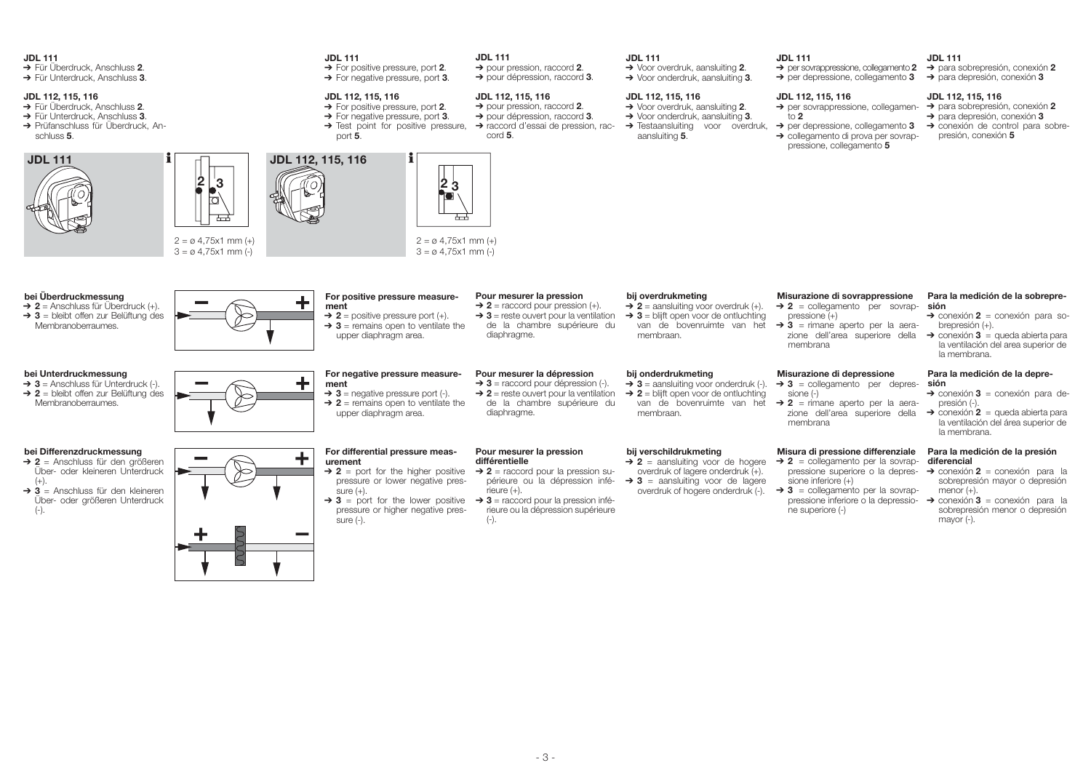#### **JDL 111**

- ➔ Für Überdruck, Anschluss **<sup>2</sup>**.
- ➔ Für Unterdruck, Anschluss **3**.

#### **JDL 112, 115, 116**

- ➔ Für Überdruck, Anschluss **<sup>2</sup>**.
- ➔ Für Unterdruck, Anschluss **3**.
- ➔ Prüfanschluss für Überdruck, Anschluss **5**.



 $(+)$ .

(-).





**JDL 111**

## **JDL 111**

➔ pour pression, raccord **2**. ➔ pour dépression, raccord **3**.

**JDL 112, 115, 116** ➔ pour pression, raccord **2**. ➔ pour dépression, raccord **3**. ➔ raccord d'essai de pression, rac-

cord **5**.

#### **JDL 112, 115, 116**

➔ For positive pressure, port **2**. ➔ For negative pressure, port **3**.

➔ For positive pressure, port **2**. ➔ For negative pressure, port **3**.

- $\rightarrow$  Test point for positive pressure.
- port **5**.



#### **JDL 111** ➔ Voor overdruk, aansluiting **2**.

➔ Voor onderdruk, aansluiting **3**.

#### **JDL 112, 115, 116**

- ➔ Voor overdruk, aansluiting **2**. ➔ Voor onderdruk, aansluiting **3**.
- → Testaansluiting voor overdruk,
	- aansluiting **5**.
	-

## **JDL 111**

## ➔ per sovrappressione, collegamento **2**

➔ per depressione, collegamento **3** ➔ para depresión, conexión **3**

## **JDL 112, 115, 116**

to **2**

- ➔ per sovrappressione, collegamen-➔ para sobrepresión, conexión **2 JDL 112, 115, 116**
	- ➔ para depresión, conexión **3**

➔ para sobrepresión, conexión **2**

➔ per depressione, collegamento **3** ➔ conexión de control para sobre-➔ collegamento di prova per sovrappressione, collegamento **5** presión, conexión **5**

**JDL 111**

 $2 = \emptyset$  4,75x1 mm (+)  $2 = \emptyset$  4,75x1 mm (+)  $3 = \emptyset$  4.75x1 mm (-)  $3 = \emptyset$  4,75x1 mm (-) **Pour mesurer la pression Misurazione di sovrappressione Para la medición de la sobreprebei Überdruckmessung For positive pressure measurebij overdrukmeting → 2** = Anschluss für Überdruck (+).  $\rightarrow$  **2** = raccord pour pression (+). **ment**  $\rightarrow$  **2** = aansluiting voor overdruk (+). ➔ **2** = collegamento per sovrap-**sión**  $\rightarrow$  **3** = reste ouvert pour la ventilation ➔ conexión **2** = conexión para so-➔ **3** = bleibt offen zur Belüftung des  $\rightarrow$  **2** = positive pressure port (+). ➔ **3** = blijft open voor de ontluchting pressione  $(+)$ de la chambre supérieure du brepresión (+). Membranoberraumes.  $\rightarrow$  **3** = remains open to ventilate the van de bovenruimte van het ➔ **3** = rimane aperto per la aeradiaphragme. **→** conexión **3** = queda abierta para upper diaphragm area. membraan. zione dell'area superiore della la ventilación del area superior de membrana la membrana. **Pour mesurer la dépression Para la medición de la deprebei Unterdruckmessung For negative pressure measurebij onderdrukmeting Misurazione di depressione** ╇ **→ 3** = Anschluss für Unterdruck (-). ➔ **3** = raccord pour dépression (-). ➔ **3** = aansluiting voor onderdruk (-). **ment** ➔ **3** = collegamento per depres-**sión** ➔ **2** = bleibt offen zur Belüftung des  $\rightarrow$  2 = reste ouvert pour la ventilation ➔ conexión **3** = conexión para de- $\rightarrow$  **3** = negative pressure port (-). ➔ **2** = blijft open voor de ontluchting sione (-) de la chambre supérieure du Membranoberraumes.  $\rightarrow$  **2** = remains open to ventilate the presión (-). van de bovenruimte van het ➔ **2** = rimane aperto per la aeradiaphragme. upper diaphragm area. membraan. zione dell'area superiore della ➔ conexión **2** = queda abierta para la ventilación del área superior de membrana la membrana. **Pour mesurer la pression Para la medición de la presión bei Differenzdruckmessung**<br>→ 2 = Anschluss für den arößeren **For differential pressure measbij verschildrukmeting Misura di pressione differenziale** ٠ **différentielle urement**  $\rightarrow$  **2** = aansluiting voor de hogere ➔ **2** = collegamento per la sovrap-**diferencial** ➔ **2** = raccord pour la pression su-Über- oder kleineren Unterdruck  $\rightarrow$  **2** = port for the higher positive overdruk of lagere onderdruk (+). pressione superiore o la depres-➔ conexión **2** = conexión para la périeure ou la dépression infésobrepresión mayor o depresión pressure or lower negative pres- $\rightarrow$  3 = aansluiting voor de lagere  $sinine$  inferiore  $(+)$  $r$ ieure  $(+)$ . ➔ **3** = Anschluss für den kleineren sure  $(+)$ . overdruk of hogere onderdruk (-).  $\rightarrow$  3 = collegamento per la sovrapmenor (+). ➔ **3** = raccord pour la pression infé-Über- oder größeren Unterdruck  $\rightarrow$  **3** = port for the lower positive pressione inferiore o la depressio-➔ conexión **3** = conexión para la rieure ou la dépression supérieure pressure or higher negative presne superiore (-) sobrepresión menor o depresión sure (-).  $(-)$ . mayor (-).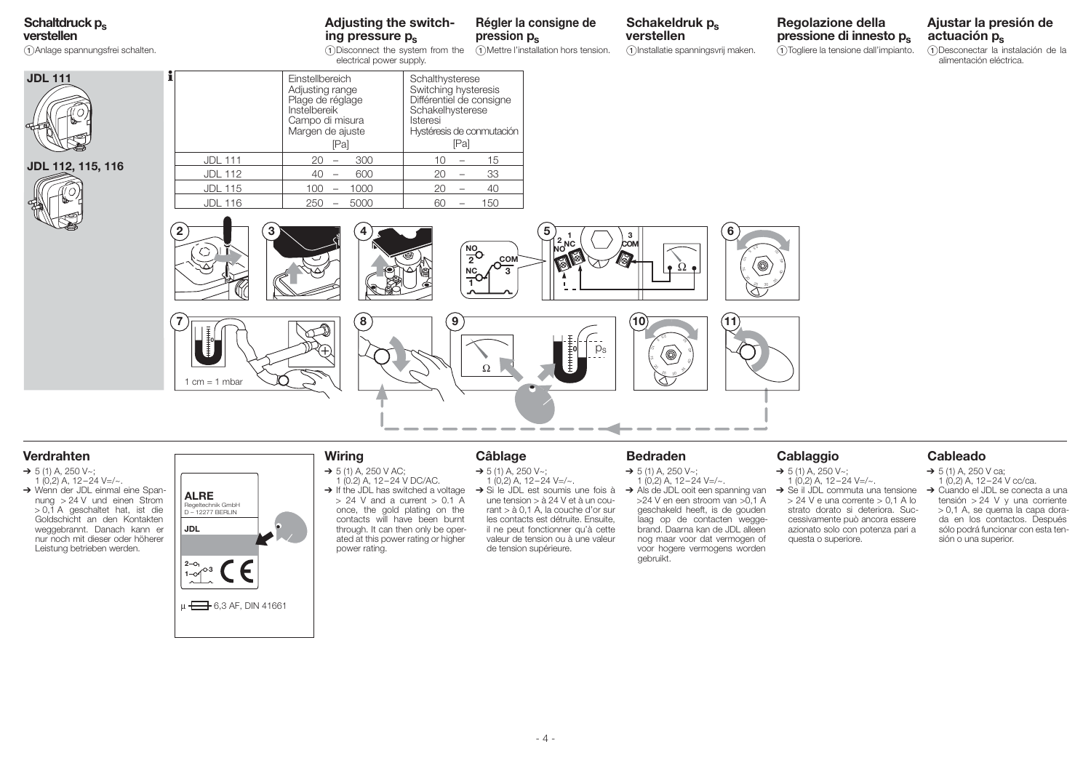# **Schaltdruck ps**

**verstellen**

Anlage spannungsfrei schalten.

## **Adjusting the switching pressure ps**

**Wiring**  $\rightarrow$  5 (1) A, 250 V AC; 1 (0.2) A, 12 – 24 V DC/AC.

power rating.

once, the gold plating on the contacts will have been burnt through. It can then only be operated at this power rating or higher

pression  $p_s$ 

Disconnect the system from the electrical power supply. Mettre l'installation hors tension.

**Régler la consigne de** 

**Schakeldruk p. verstellen** Installatie spanningsvrij maken.

## **Regolazione della pressione di innesto ps** Togliere la tensione dall'impianto.

**actuación ps** Desconectar la instalación de la alimentación eléctrica.

**Ajustar la presión de** 







## **Verdrahten**

- $\rightarrow$  5 (1) A, 250 V~;  $1(0,2)$  A,  $12-24$  V=/ $\sim$ .
- → Wenn der JDL einmal eine Spannung > 24 V und einen Strom > 0,1 A geschaltet hat, ist die Goldschicht an den Kontakten weggebrannt. Danach kann er nur noch mit dieser oder höherer Leistung betrieben werden.



**0**

 $1 cm = 1 mbar$ 

## **Câblage**

- $\rightarrow$  5 (1) A, 250 V~;
- $\rightarrow$  If the JDL has switched a voltage  $> 24$  V and a current  $> 0.1$  A  $1(0.2)$  A,  $12-24$  V=/ $\sim$ . → Si le JDL est soumis une fois à une tension > à 24 V et à un cou
	- rant > à 0,1 A, la couche d'or sur les contacts est détruite. Ensuite, il ne peut fonctionner qu'à cette valeur de tension ou à une valeur de tension supérieure.

## **Bedraden**

- $\rightarrow$  5 (1) A, 250 V~:  $1(0,2)$  A,  $12-24$  V=/ $\sim$ .
- → Als de JDL ooit een spanning van >24 V en een stroom van >0,1 A geschakeld heeft, is de gouden laag op de contacten weggebrand. Daarna kan de JDL alleen nog maar voor dat vermogen of voor hogere vermogens worden gebruikt.

## **Cablaggio**

 $1 (0.2)$  A,  $12 - 24$  V=/ $\sim$ .  $\rightarrow$  Se il JDL commuta una tensione  $> 24$  V e una corrente  $> 0.1$  A lo strato dorato si deteriora. Successivamente può ancora essere azionato solo con potenza pari a questa o superiore.

## **Cableado**

- $\rightarrow$  5 (1) A, 250 V ca;  $1(0,2)$  A,  $12-24$  V cc/ca.
- → Cuando el JDL se conecta a una tensión > 24 V y una corriente > 0,1 A, se quema la capa dorada en los contactos. Después sólo podrá funcionar con esta tensión o una superior.
- $\rightarrow$  5 (1) A, 250 V~;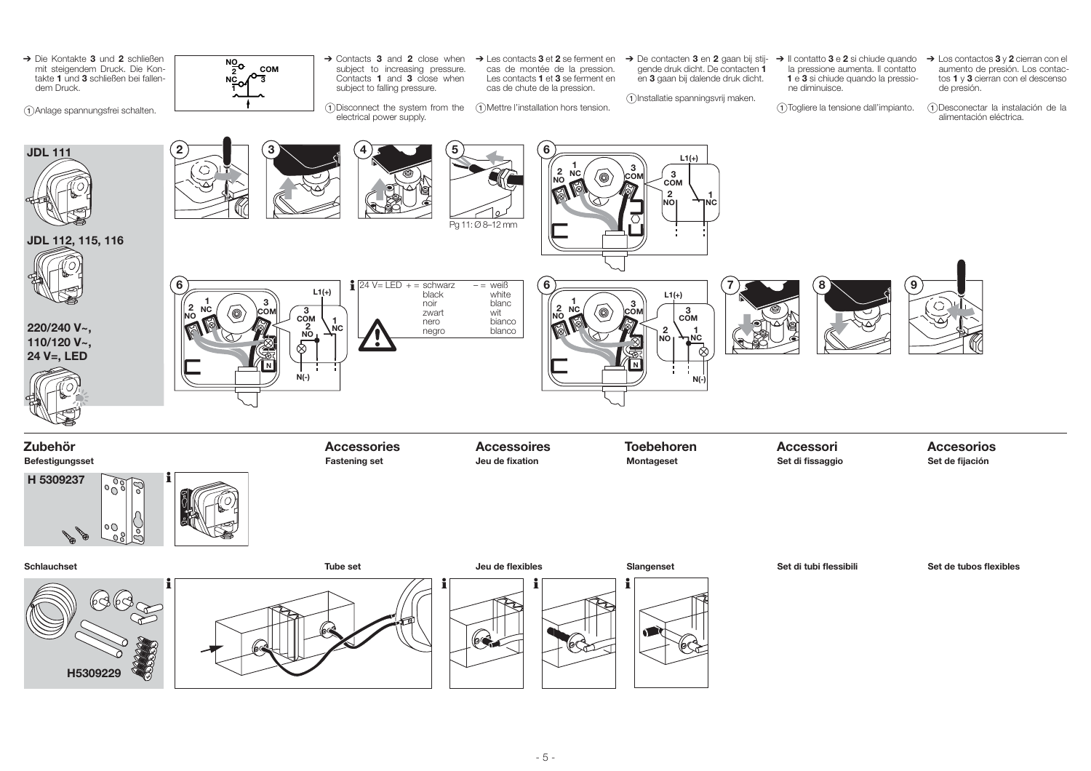